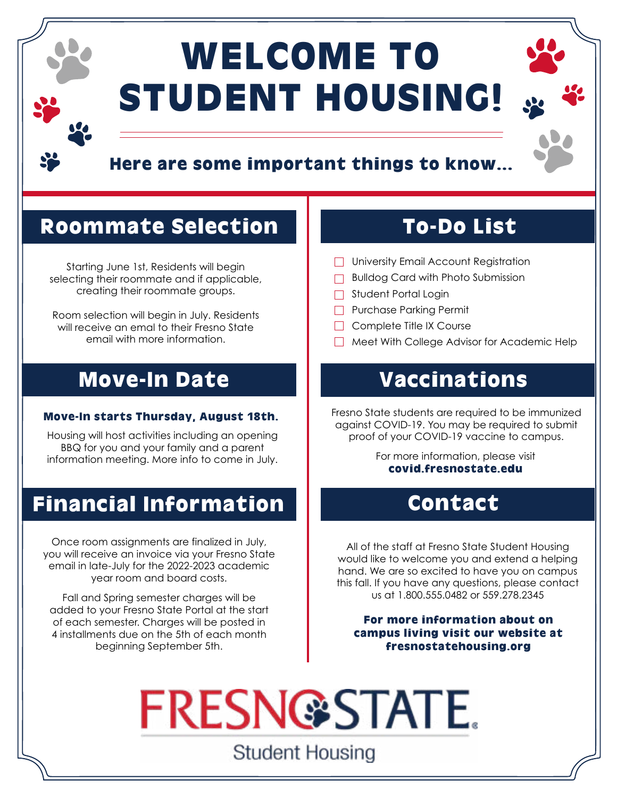# WELCOME TO STUDENT HOUSING!

### Here are some important things to know...

### Roommate Selection

Starting June 1st, Residents will begin selecting their roommate and if applicable, creating their roommate groups.

Room selection will begin in July. Residents will receive an emal to their Fresno State email with more information.

### Move-In Date

Housing will host activities including an opening BBQ for you and your family and a parent information meeting. More info to come in July.

### Financial Information

Once room assignments are finalized in July, you will receive an invoice via your Fresno State email in late-July for the 2022-2023 academic year room and board costs.

Fall and Spring semester charges will be added to your Fresno State Portal at the start of each semester. Charges will be posted in 4 installments due on the 5th of each month beginning September 5th.

### To-Do List

- **University Email Account Registration**
- **Bulldog Card with Photo Submission**
- Student Portal Login
- **Purchase Parking Permit**
- $\Box$  Complete Title IX Course
- Meet With College Advisor for Academic Help

### Vaccinations

**Move-In starts Thursday, August 18th.** Fresno State students are required to be immunized against COVID-19. You may be required to submit proof of your COVID-19 vaccine to campus.

> For more information, please visit [covid.fresnostate.edu](http://covid.fresnostate.edu)

### Contact

All of the staff at Fresno State Student Housing would like to welcome you and extend a helping hand. We are so excited to have you on campus this fall. If you have any questions, please contact us at 1.800.555.0482 or 559.278.2345

For more information about on campus living visit our website at [fresnostatehousing.org](http://fresnostatehousing.org)

**FRESN@STATE. Student Housing**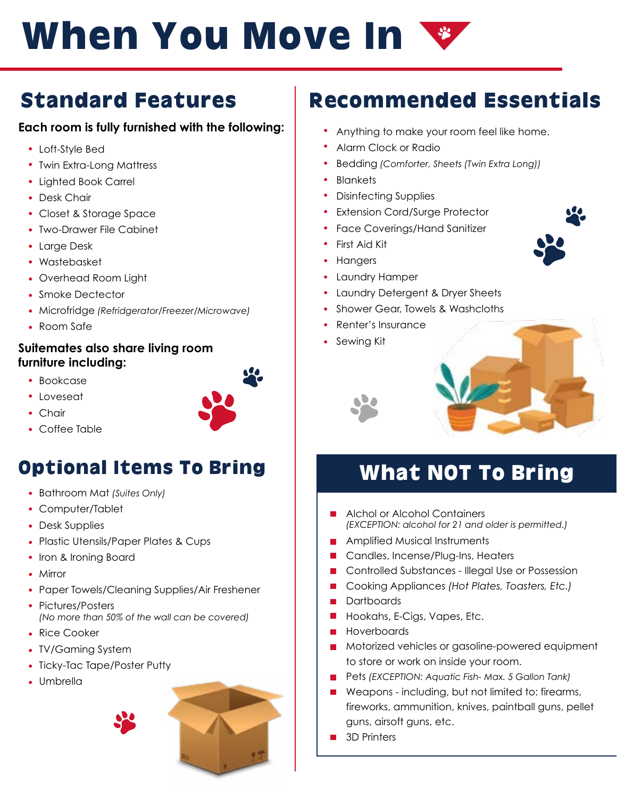# When You Move In

### Standard Features

### **Each room is fully furnished with the following:**

- Loft-Style Bed
- Twin Extra-Long Mattress
- Lighted Book Carrel
- Desk Chair
- Closet & Storage Space
- Two-Drawer File Cabinet
- Large Desk
- Wastebasket
- Overhead Room Light
- Smoke Dectector
- Microfridge *(Refridgerator/Freezer/Microwave)*
- Room Safe

### **Suitemates also share living room furniture including:**

- Bookcase
- Loveseat
- Chair
- Coffee Table

### Optional Items To Bring

- Bathroom Mat *(Suites Only)*
- Computer/Tablet
- Desk Supplies
- Plastic Utensils/Paper Plates & Cups
- Iron & Ironing Board
- Mirror
- Paper Towels/Cleaning Supplies/Air Freshener
- Pictures/Posters *(No more than 50% of the wall can be covered)*
- Rice Cooker
- TV/Gaming System
- Ticky-Tac Tape/Poster Putty
- Umbrella



### Recommended Essentials

- Anything to make your room feel like home.
- Alarm Clock or Radio
- Bedding *(Comforter, Sheets (Twin Extra Long))*
- Blankets
- Disinfecting Supplies
- Extension Cord/Surge Protector
- Face Coverings/Hand Sanitizer
- First Aid Kit
- Hangers
- Laundry Hamper
- Laundry Detergent & Dryer Sheets
- Shower Gear, Towels & Washcloths
- Renter's Insurance
- Sewing Kit



# What NOT To Bring

- Alchol or Alcohol Containers *(EXCEPTION: alcohol for 21 and older is permitted.)*
- **Amplified Musical Instruments**
- Candles, Incense/Plug-Ins, Heaters
- Controlled Substances Illegal Use or Possession  $\mathcal{C}^{\mathcal{A}}$
- Cooking Appliances *(Hot Plates, Toasters, Etc.)*  $\overline{\phantom{a}}$
- **Dartboards**
- $\mathcal{L}_{\mathcal{A}}$ Hookahs, E-Cigs, Vapes, Etc.
- Hoverboards  $\blacksquare$
- Motorized vehicles or gasoline-powered equipment to store or work on inside your room.
- Pets *(EXCEPTION: Aquatic Fish- Max. 5 Gallon Tank)*
- Weapons including, but not limited to: firearms, fireworks, ammunition, knives, paintball guns, pellet guns, airsoft guns, etc.
- 3D Printers